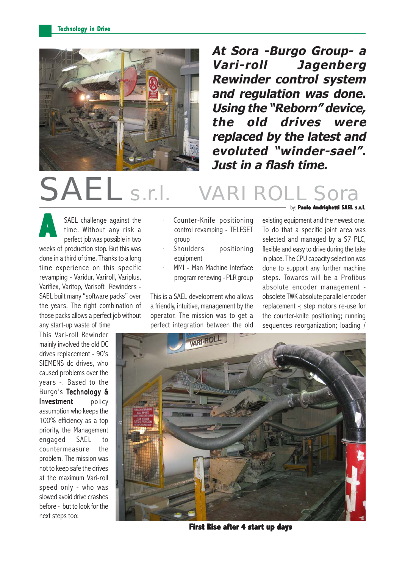

**At Sora -Burgo Group- a Vari-roll Jagenberg Rewinder control system and regulation was done. Using the "Reborn" device, the old drives were replaced by the latest and evoluted "winder-sael". Just in a flash time.**

# SAEL s.r.l.

SAEL challenge against the time. Without any risk a perfect job was possible in two **A** weeks of production stop. But this was done in a third of time. Thanks to a long time experience on this specific revamping - Varidur, Variroll, Variplus, Variflex, Varitop, Varisoft Rewinders - SAEL built many "software packs" over the years. The right combination of those packs allows a perfect job without any start-up waste of time

This Vari-roll Rewinder mainly involved the old DC drives replacement - 90's SIEMENS dc drives, who caused problems over the years -. Based to the Burgo's Technology & Investment policy assumption who keeps the 100% efficiency as a top priority, the Management engaged SAEL to countermeasure the problem. The mission was not to keep safe the drives at the maximum Vari-roll speed only - who was slowed avoid drive crashes before - but to look for the next steps too:

- Counter-Knife positioning control revamping - TELESET group
- Shoulders positioning equipment
- MMI Man Machine Interface program renewing - PLR group

This is a SAEL development who allows a friendly, intuitive, management by the operator. The mission was to get a perfect integration between the old

#### by: **Paolo Andrighetti SAEL s.r.l.**

existing equipment and the newest one. To do that a specific joint area was selected and managed by a S7 PLC, flexible and easy to drive during the take in place. The CPU capacity selection was done to support any further machine steps. Towards will be a Profibus absolute encoder management obsolete TWK absolute parallel encoder replacement -; step motors re-use for the counter-knife positioning; running sequences reorganization; loading /



**First Rise after 4 start up days**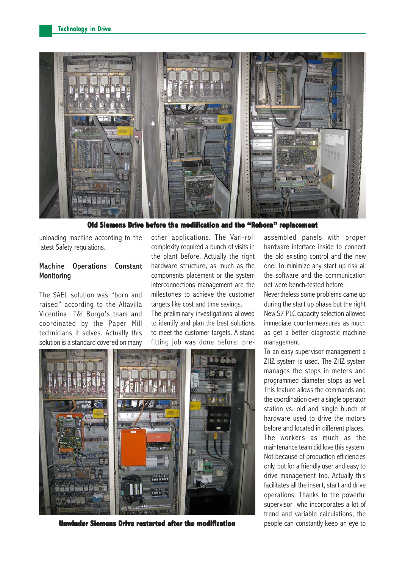

**Old Siemens Drive before the modification and the "Reborn" replacement Drive before the modification and "Reborn" replacement**

unloading machine according to the latest Safety regulations.

# Machine Operations Constant **Monitoring**

The SAEL solution was "born and raised" according to the Altavilla Vicentina T&I Burgo's team and coordinated by the Paper Mill technicians it selves. Actually this solution is a standard covered on many

other applications. The Vari-roll complexity required a bunch of visits in the plant before. Actually the right hardware structure, as much as the components placement or the system interconnections management are the milestones to achieve the customer targets like cost and time savings.

The preliminary investigations allowed to identify and plan the best solutions to meet the customer targets. A stand fitting job was done before: pre-



**Unwinder Siemens Drive restarted after the modification people can constantly keep an eye to** 

assembled panels with proper hardware interface inside to connect the old existing control and the new one. To minimize any start up risk all the software and the communication net were bench-tested before.

Nevertheless some problems came up during the start up phase but the right New S7 PLC capacity selection allowed immediate countermeasures as much as get a better diagnostic machine management.

To an easy supervisor management a ZHZ system is used. The ZHZ system manages the stops in meters and programmed diameter stops as well. This feature allows the commands and the coordination over a single operator station vs. old and single bunch of hardware used to drive the motors before and located in different places. The workers as much as the maintenance team did love this system. Not because of production efficiencies only, but for a friendly user and easy to drive management too. Actually this facilitates all the insert, start and drive operations. Thanks to the powerful supervisor who incorporates a lot of trend and variable calculations, the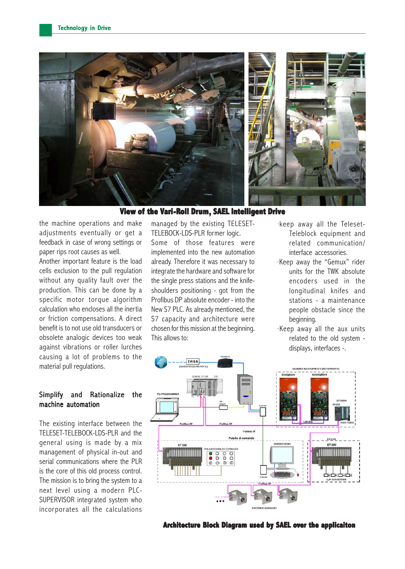

**View of the Vari-Roll Drum, SAEL Intelligent Drive** 

the machine operations and make adjustments eventually or get a feedback in case of wrong settings or paper rips root causes as well.

Another important feature is the load cells exclusion to the pull regulation without any quality fault over the production. This can be done by a specific motor torque algorithm calculation who encloses all the inertia or friction compensations. A direct benefit is to not use old transducers or obsolete analogic devices too weak against vibrations or roller lurches causing a lot of problems to the material pull regulations.

## Simplify and Rationalize the machine automation

The existing interface between the TELESET-TELEBOCK-LDS-PLR and the general using is made by a mix management of physical in-out and serial communications where the PLR is the core of this old process control. The mission is to bring the system to a next level using a modern PLC-SUPERVISOR integrated system who incorporates all the calculations managed by the existing TELESET-TELEBOCK-LDS-PLR former logic. Some of those features were implemented into the new automation already. Therefore it was necessary to integrate the hardware and software for the single press stations and the knifeshoulders positioning - got from the Profibus DP absolute encoder - into the New S7 PLC. As already mentioned, the S7 capacity and architecture were chosen for this mission at the beginning. This allows to:

- ·keep away all the Teleset-Teleblock equipment and related communication/ interface accessories.
- ·Keep away the "Gemux" rider units for the TWK absolute encoders used in the longitudinal knifes and stations - a maintenance people obstacle since the beginning.
- ·Keep away all the aux units related to the old system displays, interfaces -.



**Architecture Block Diagram used by SAEL over the applicaiton**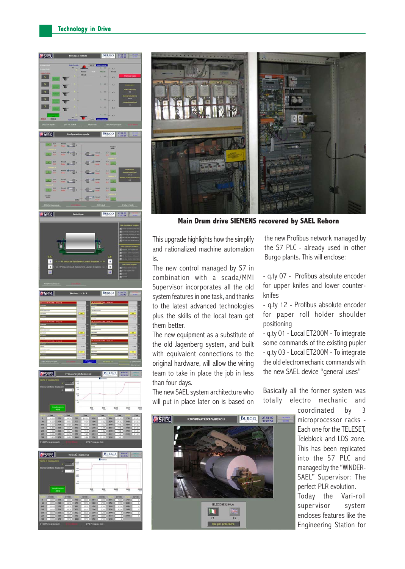



**Main Drum drive SIEMENS recovered by SAEL Reborn**

This upgrade highlights how the simplify and rationalized machine automation is.

The new control managed by S7 in combination with a scada/MMI Supervisor incorporates all the old system features in one task, and thanks to the latest advanced technologies plus the skills of the local team get them better.

The new equipment as a substitute of the old Jagenberg system, and built with equivalent connections to the original hardware, will allow the wiring team to take in place the job in less than four days.

The new SAEL system architecture who will put in place later on is based on the new Profibus network managed by the S7 PLC - already used in other Burgo plants. This will enclose:

- q.ty 07 - Profibus absolute encoder for upper knifes and lower counterknifes

- q.ty 12 - Profibus absolute encoder for paper roll holder shoulder positioning

- q.ty 01 - Local ET200M - To integrate some commands of the existing pupler - q.ty 03 - Local ET200M - To integrate the old electromechanic commands with the new SAEL device "general uses"

Basically all the former system was totally electro mechanic and



coordinated by 3 microprocessor racks - Each one for the TELESET, Teleblock and LDS zone. This has been replicated into the S7 PLC and managed by the "WINDER-SAEL" Supervisor: The perfect PLR evolution.

Today the Vari-roll supervisor system encloses features like the Engineering Station for